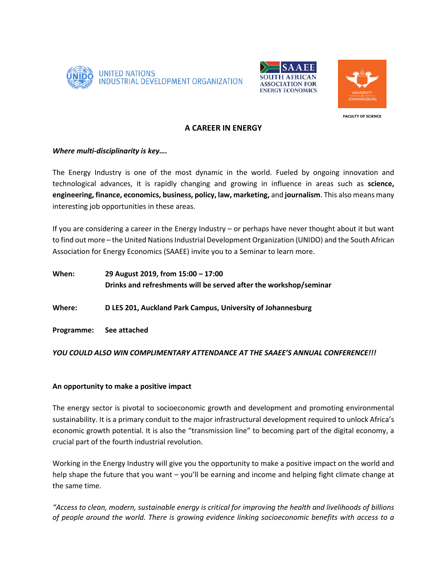





**FACULTY OF SCIENCE** 

## **A CAREER IN ENERGY**

# *Where multi-disciplinarity is key….*

The Energy Industry is one of the most dynamic in the world. Fueled by ongoing innovation and technological advances, it is rapidly changing and growing in influence in areas such as **science, engineering, finance, economics, business, policy, law, marketing,** and **journalism**. This also means many interesting job opportunities in these areas.

If you are considering a career in the Energy Industry – or perhaps have never thought about it but want to find out more – the United Nations Industrial Development Organization (UNIDO) and the South African Association for Energy Economics (SAAEE) invite you to a Seminar to learn more.

| When:                   | 29 August 2019, from 15:00 - 17:00<br>Drinks and refreshments will be served after the workshop/seminar |
|-------------------------|---------------------------------------------------------------------------------------------------------|
| Where:                  | D LES 201, Auckland Park Campus, University of Johannesburg                                             |
| Programme: See attached |                                                                                                         |

*YOU COULD ALSO WIN COMPLIMENTARY ATTENDANCE AT THE SAAEE'S ANNUAL CONFERENCE!!!*

# **An opportunity to make a positive impact**

The energy sector is pivotal to socioeconomic growth and development and promoting environmental sustainability. It is a primary conduit to the major infrastructural development required to unlock Africa's economic growth potential. It is also the "transmission line" to becoming part of the digital economy, a crucial part of the fourth industrial revolution.

Working in the Energy Industry will give you the opportunity to make a positive impact on the world and help shape the future that you want – you'll be earning and income and helping fight climate change at the same time.

*"Access to clean, modern, sustainable energy is critical for improving the health and livelihoods of billions of people around the world. There is growing evidence linking socioeconomic benefits with access to a*